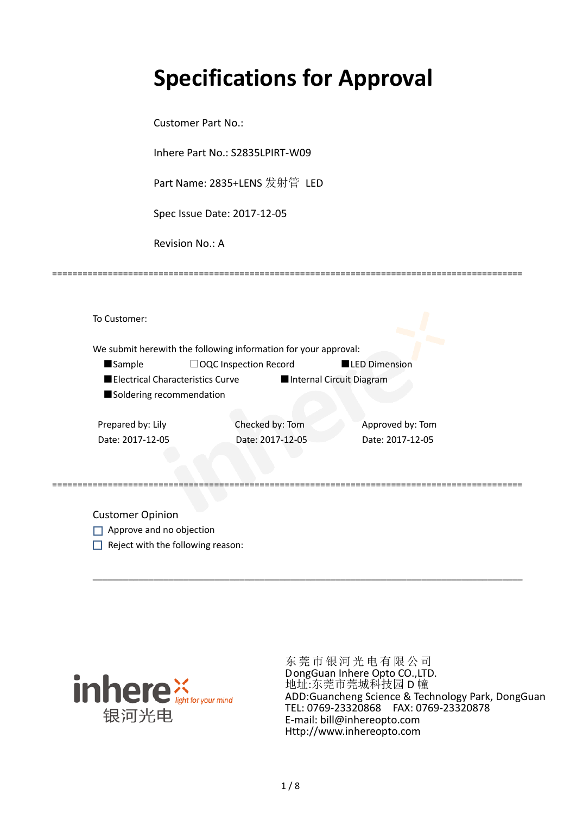# **Specifications for Approval**

Customer Part No.:

Inhere Part No.: S2835LPIRT-W09

Part Name: 2835+LENS 发射管 LED

Spec Issue Date: 2017-12-05

Revision No.: A

|                                  | We submit herewith the following information for your approval: |                          |
|----------------------------------|-----------------------------------------------------------------|--------------------------|
| <b>Sample</b>                    | □OQC Inspection Record                                          | <b>LED Dimension</b>     |
| Electrical Characteristics Curve |                                                                 | Internal Circuit Diagram |
| Soldering recommendation         |                                                                 |                          |
|                                  |                                                                 |                          |
| Prepared by: Lily                | Checked by: Tom                                                 | Approved by: Tom         |
| Date: 2017-12-05                 | Date: 2017-12-05                                                | Date: 2017-12-05         |
|                                  |                                                                 |                          |

\_\_\_\_\_\_\_\_\_\_\_\_\_\_\_\_\_\_\_\_\_\_\_\_\_\_\_\_\_\_\_\_\_\_\_\_\_\_\_\_\_\_\_\_\_\_\_\_\_\_\_\_\_\_\_\_\_\_\_\_\_\_\_\_\_\_\_\_\_\_\_\_\_\_\_\_\_\_\_\_\_\_\_\_\_

=============================================================================================

Customer Opinion

- Approve and no objection
- $\Box$  Reject with the following reason:



东莞市银河光电有限公司 DongGuan Inhere Opto CO.,LTD. 地址:东莞市莞城科技园 D 幢 ADD:Guancheng Science & Technology Park, DongGuan TEL: 0769-23320868 FAX: 0769-23320878 E-mail: bill@inhereopto.com Http://www.inhereopto.com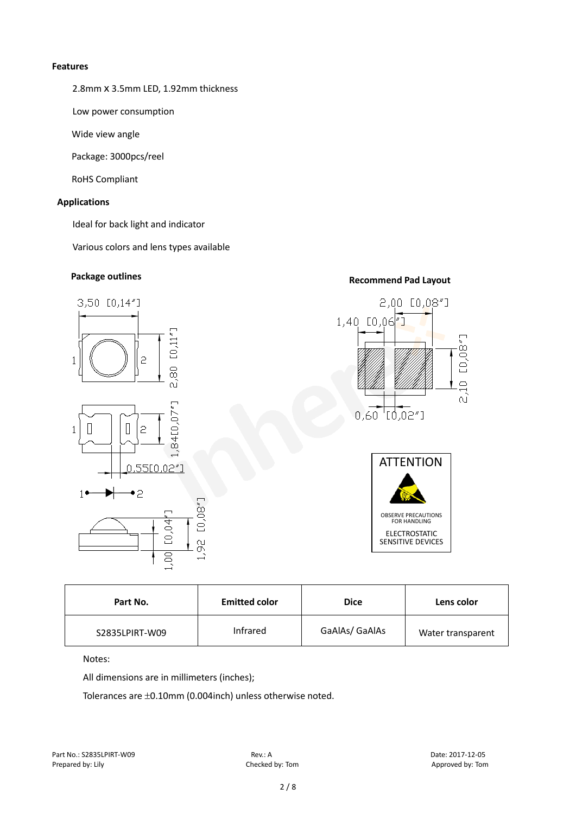#### **Features**

2.8mmⅹ3.5mm LED, 1.92mm thickness

Low power consumption

Wide view angle

Package: 3000pcs/reel

RoHS Compliant

# **Applications**

 $\mathbf{1}$ 

 $\mathbf{1}$ 

Ideal for back light and indicator

Various colors and lens types available

# **Package outlines Recommend Pad Layout**

#### 3,50 [0,14"] 2,00 [0,08"] 1,40 [0]  $\sqrt{ }$  $[0, 11"$ [0,08  $\tilde{c}$ 2,80  $\subseteq$  $\widehat{\omega}$ 84[0,07"]  $0,60$   $[0,02"]$ П  $\tilde{c}$ **ATTENTION** ,55[0,02"]  $\cap$  $\bullet$  2  $\overline{1}$  $[0.08"$ OBSERVE PRECAUTIONS FOR HANDLING  $[0, 04]$ ELECTROSTATIC  $\alpha$ SENSITIVE DEVICES  $\overline{O}$

| Part No.       | <b>Emitted color</b> | <b>Dice</b>    | Lens color        |
|----------------|----------------------|----------------|-------------------|
| S2835LPIRT-W09 | Infrared             | GaAlAs/ GaAlAs | Water transparent |

#### Notes:

All dimensions are in millimeters (inches);

Tolerances are ±0.10mm (0.004inch) unless otherwise noted.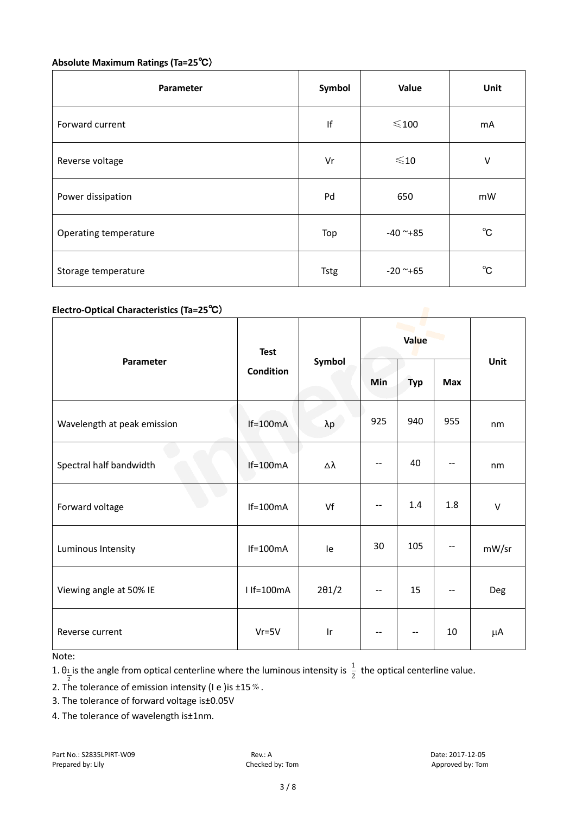# **Absolute Maximum Ratings (Ta=25**℃)

| <b>Parameter</b>      | Symbol      | Value           | Unit         |
|-----------------------|-------------|-----------------|--------------|
| Forward current       | If          | $\leqslant$ 100 | mA           |
| Reverse voltage       | Vr          | $\leqslant$ 10  | V            |
| Power dissipation     | Pd          | 650             | mW           |
| Operating temperature | Top         | $-40$ ~ $+85$   | $^{\circ}C$  |
| Storage temperature   | <b>Tstg</b> | $-20$ ~+65      | $^{\circ}$ C |

# **Electro-Optical Characteristics (Ta=25**℃)

| Parameter                   | <b>Test</b><br><b>Condition</b> | Symbol        | Value                    |                          |                                       |         |
|-----------------------------|---------------------------------|---------------|--------------------------|--------------------------|---------------------------------------|---------|
|                             |                                 |               | Min                      | <b>Typ</b>               | <b>Max</b>                            | Unit    |
| Wavelength at peak emission | $If=100mA$                      | $\lambda p$   | 925                      | 940                      | 955                                   | nm      |
| Spectral half bandwidth     | $If=100mA$                      | Δλ            | $\overline{\phantom{m}}$ | 40                       | --                                    | nm      |
| Forward voltage             | $If=100mA$                      | Vf            | --                       | 1.4                      | 1.8                                   | $\sf V$ |
| Luminous Intensity          | $If=100mA$                      | le            | 30                       | 105                      | $\hspace{0.05cm}$ – $\hspace{0.05cm}$ | mW/sr   |
| Viewing angle at 50% IE     | $l$ If=100mA                    | $2\theta$ 1/2 | $-$                      | 15                       | $\qquad \qquad -$                     | Deg     |
| Reverse current             | $Vr = 5V$                       | Ir            | $- -$                    | $\overline{\phantom{a}}$ | 10                                    | μA      |

#### Note:

1.  $\theta_{\frac{1}{2}}$ is the angle from optical centerline where the luminous intensity is  $\frac{1}{2}$  the optical centerline value.

2. The tolerance of emission intensity (I e ) is  $\pm 15\%$ .

3. The tolerance of forward voltage is±0.05V

4. The tolerance of wavelength is±1nm.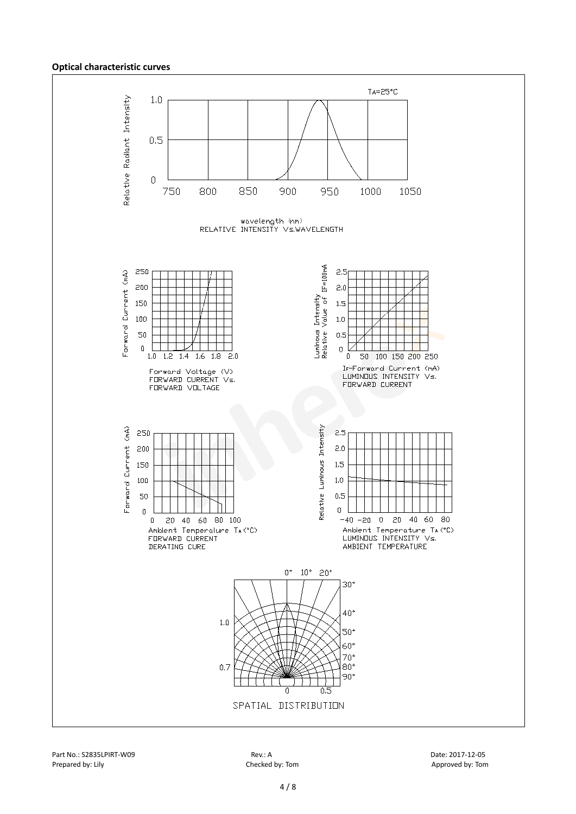#### **Optical characteristic curves**

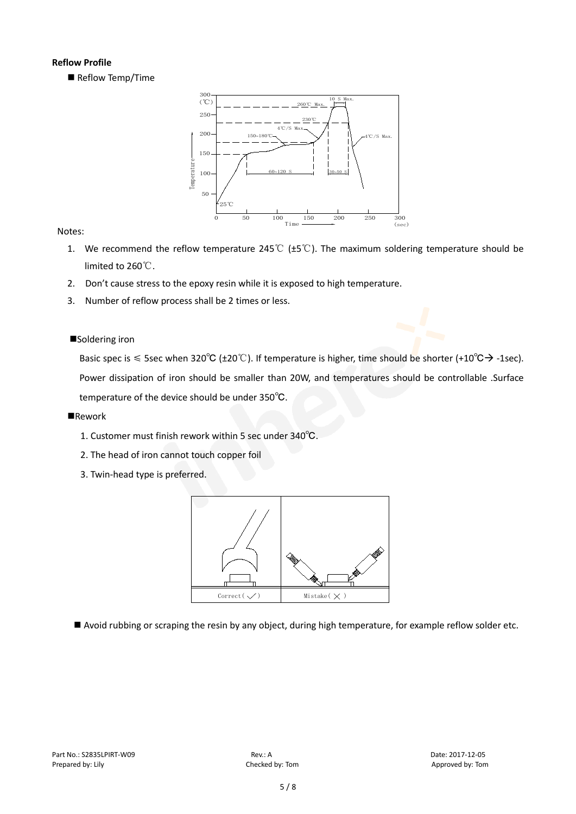## **Reflow Profile**

Reflow Temp/Time



## Notes:

- 1. We recommend the reflow temperature 245℃ (±5℃). The maximum soldering temperature should be limited to 260℃.
- 2. Don't cause stress to the epoxy resin while it is exposed to high temperature.
- 3. Number of reflow process shall be 2 times or less.

## ■Soldering iron

Basic spec is  $\leq$  5sec when 320°C (±20°C). If temperature is higher, time should be shorter (+10°C $\rightarrow$  -1sec). Power dissipation of iron should be smaller than 20W, and temperatures should be controllable .Surface temperature of the device should be under 350℃.

## **Rework**

- 1. Customer must finish rework within 5 sec under 340℃.
- 2. The head of iron cannot touch copper foil
- 3. Twin-head type is preferred.



Avoid rubbing or scraping the resin by any object, during high temperature, for example reflow solder etc.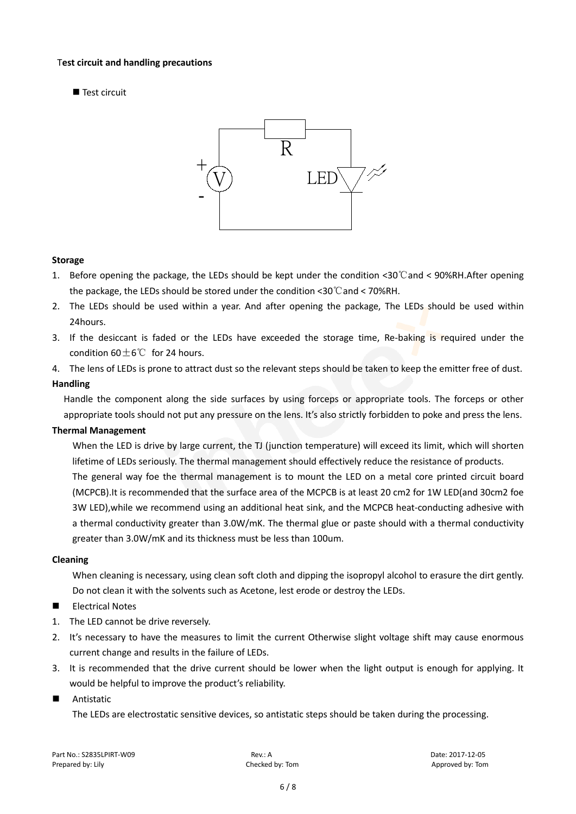#### T**est circuit and handling precautions**

Test circuit



#### **Storage**

- 1. Before opening the package, the LEDs should be kept under the condition <30℃and < 90%RH.After opening the package, the LEDs should be stored under the condition <30℃and < 70%RH.
- 2. The LEDs should be used within a year. And after opening the package, The LEDs should be used within 24hours.
- 3. If the desiccant is faded or the LEDs have exceeded the storage time, Re-baking is required under the condition  $60±6°C$  for 24 hours.
- 4. The lens of LEDs is prone to attract dust so the relevant steps should be taken to keep the emitter free of dust.

## **Handling**

Handle the component along the side surfaces by using forceps or appropriate tools. The forceps or other appropriate tools should not put any pressure on the lens. It's also strictly forbidden to poke and press the lens.

## **Thermal Management**

When the LED is drive by large current, the TJ (junction temperature) will exceed its limit, which will shorten lifetime of LEDs seriously. The thermal management should effectively reduce the resistance of products. The general way foe the thermal management is to mount the LED on a metal core printed circuit board

(MCPCB).It is recommended that the surface area of the MCPCB is at least 20 cm2 for 1W LED(and 30cm2 foe 3W LED),while we recommend using an additional heat sink, and the MCPCB heat-conducting adhesive with a thermal conductivity greater than 3.0W/mK. The thermal glue or paste should with a thermal conductivity greater than 3.0W/mK and its thickness must be less than 100um.

## **Cleaning**

When cleaning is necessary, using clean soft cloth and dipping the isopropyl alcohol to erasure the dirt gently. Do not clean it with the solvents such as Acetone, lest erode or destroy the LEDs.

- Electrical Notes
- 1. The LED cannot be drive reversely.
- 2. It's necessary to have the measures to limit the current Otherwise slight voltage shift may cause enormous current change and results in the failure of LEDs.
- 3. It is recommended that the drive current should be lower when the light output is enough for applying. It would be helpful to improve the product's reliability.
- **Antistatic**

The LEDs are electrostatic sensitive devices, so antistatic steps should be taken during the processing.

Part No.: S2835LPIRT-W09 **Rev.: A** Rev.: A Rev.: A Date: 2017-12-05 Prepared by: Lily Checked by: Tom Checked by: Tom Approved by: Tom Approved by: Tom Approved by: Tom Approved by: Tom Approved by: Tom Approved by: Tom Approved by: Tom Approved by: Tom Approved by: Tom Approved by: Tom Ap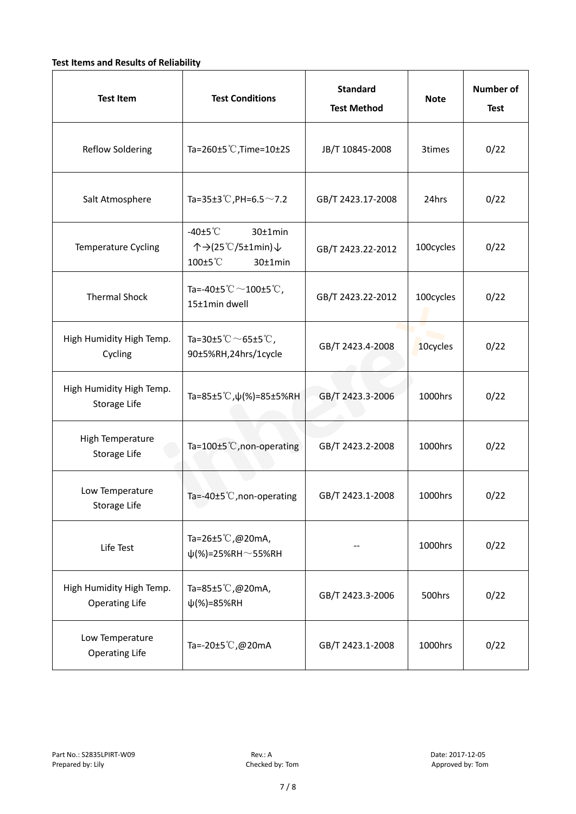# **Test Items and Results of Reliability**

| <b>Test Item</b>                                  | <b>Test Conditions</b>                                                       | <b>Standard</b><br><b>Test Method</b> | <b>Note</b> | <b>Number of</b><br><b>Test</b> |
|---------------------------------------------------|------------------------------------------------------------------------------|---------------------------------------|-------------|---------------------------------|
| <b>Reflow Soldering</b>                           | Ta=260±5 °C, Time=10±2S                                                      | JB/T 10845-2008                       | 3times      | 0/22                            |
| Salt Atmosphere                                   | Ta=35±3°C, PH=6.5 $\sim$ 7.2                                                 | GB/T 2423.17-2008                     | 24hrs       | 0/22                            |
| Temperature Cycling                               | -40 $±5^{\circ}$ C<br>$30±1$ min<br>个→(25℃/5±1min)↓<br>100±5°C<br>$30±1$ min | GB/T 2423.22-2012                     | 100cycles   | 0/22                            |
| <b>Thermal Shock</b>                              | Ta=-40±5 $°C$ ~100±5 $°C$ ,<br>15±1min dwell                                 | GB/T 2423.22-2012                     | 100cycles   | 0/22                            |
| High Humidity High Temp.<br>Cycling               | Ta=30±5 $^{\circ}$ C $\sim$ 65±5 $^{\circ}$ C,<br>90±5%RH,24hrs/1cycle       | GB/T 2423.4-2008                      | 10cycles    | 0/22                            |
| High Humidity High Temp.<br>Storage Life          | Ta=85±5 °C, $\psi$ (%)=85±5%RH                                               | GB/T 2423.3-2006                      | 1000hrs     | 0/22                            |
| High Temperature<br>Storage Life                  | Ta=100±5°C, non-operating                                                    | GB/T 2423.2-2008                      | 1000hrs     | 0/22                            |
| Low Temperature<br>Storage Life                   | Ta=-40±5℃, non-operating                                                     | GB/T 2423.1-2008                      | 1000hrs     | 0/22                            |
| Life Test                                         | Ta=26±5℃,@20mA,<br>$\psi$ (%)=25%RH~55%RH                                    |                                       | 1000hrs     | 0/22                            |
| High Humidity High Temp.<br><b>Operating Life</b> | Ta=85±5℃,@20mA,<br>$\psi$ (%)=85%RH                                          | GB/T 2423.3-2006                      | 500hrs      | 0/22                            |
| Low Temperature<br><b>Operating Life</b>          | Ta=-20±5℃,@20mA                                                              | GB/T 2423.1-2008                      | 1000hrs     | 0/22                            |